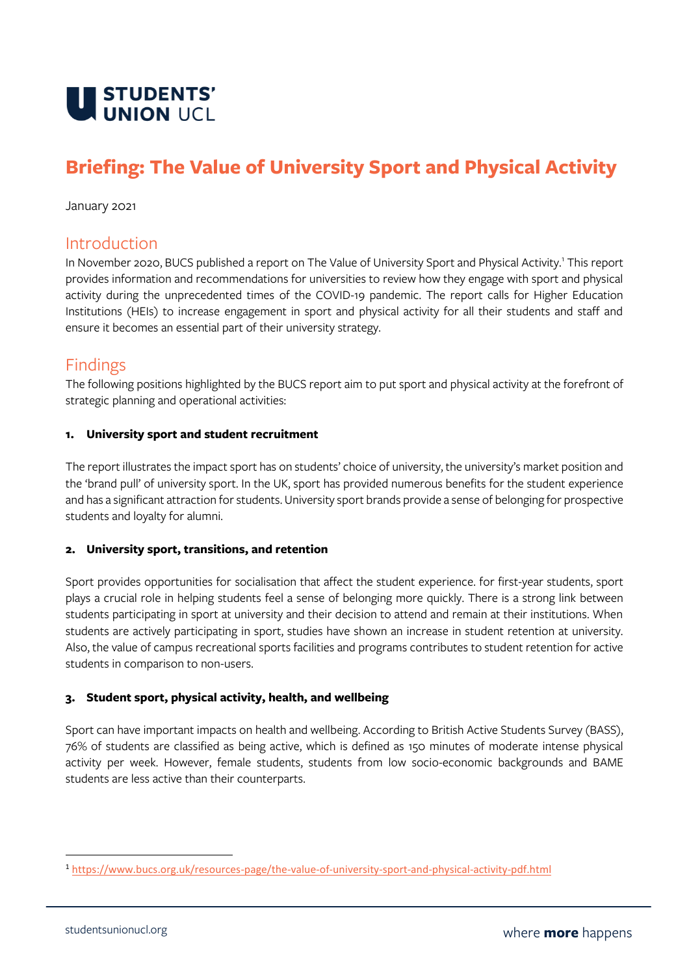

# **Briefing: The Value of University Sport and Physical Activity**

January 2021

### Introduction

In November 2020, BUCS published a report on The Value of University Sport and Physical Activity.<sup>1</sup> This report provides information and recommendations for universities to review how they engage with sport and physical activity during the unprecedented times of the COVID-19 pandemic. The report calls for Higher Education Institutions (HEIs) to increase engagement in sport and physical activity for all their students and staff and ensure it becomes an essential part of their university strategy.

## Findings

The following positions highlighted by the BUCS report aim to put sport and physical activity at the forefront of strategic planning and operational activities:

#### **1. University sport and student recruitment**

The report illustrates the impact sport has on students' choice of university, the university's market position and the 'brand pull' of university sport. In the UK, sport has provided numerous benefits for the student experience and has a significant attraction for students. University sport brands provide a sense of belonging for prospective students and loyalty for alumni.

#### **2. University sport, transitions, and retention**

Sport provides opportunities for socialisation that affect the student experience. for first-year students, sport plays a crucial role in helping students feel a sense of belonging more quickly. There is a strong link between students participating in sport at university and their decision to attend and remain at their institutions. When students are actively participating in sport, studies have shown an increase in student retention at university. Also, the value of campus recreational sports facilities and programs contributes to student retention for active students in comparison to non-users.

#### **3. Student sport, physical activity, health, and wellbeing**

Sport can have important impacts on health and wellbeing. According to British Active Students Survey (BASS), 76% of students are classified as being active, which is defined as 150 minutes of moderate intense physical activity per week. However, female students, students from low socio-economic backgrounds and BAME students are less active than their counterparts.

<sup>1</sup> <https://www.bucs.org.uk/resources-page/the-value-of-university-sport-and-physical-activity-pdf.html>